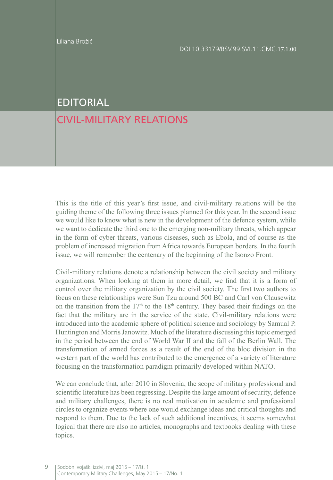## EDITORIAL

## CIVIL-MILITARY RELATIONS

This is the title of this year's first issue, and civil-military relations will be the guiding theme of the following three issues planned for this year. In the second issue we would like to know what is new in the development of the defence system, while we want to dedicate the third one to the emerging non-military threats, which appear in the form of cyber threats, various diseases, such as Ebola, and of course as the problem of increased migration from Africa towards European borders. In the fourth issue, we will remember the centenary of the beginning of the Isonzo Front.

Civil-military relations denote a relationship between the civil society and military organizations. When looking at them in more detail, we find that it is a form of control over the military organization by the civil society. The first two authors to focus on these relationships were Sun Tzu around 500 BC and Carl von Clausewitz on the transition from the  $17<sup>th</sup>$  to the  $18<sup>th</sup>$  century. They based their findings on the fact that the military are in the service of the state. Civil-military relations were introduced into the academic sphere of political science and sociology by Samual P. Huntington and Morris Janowitz. Much of the literature discussing this topic emerged in the period between the end of World War II and the fall of the Berlin Wall. The transformation of armed forces as a result of the end of the bloc division in the western part of the world has contributed to the emergence of a variety of literature focusing on the transformation paradigm primarily developed within NATO.

We can conclude that, after 2010 in Slovenia, the scope of military professional and scientific literature has been regressing. Despite the large amount of security, defence and military challenges, there is no real motivation in academic and professional circles to organize events where one would exchange ideas and critical thoughts and respond to them. Due to the lack of such additional incentives, it seems somewhat logical that there are also no articles, monographs and textbooks dealing with these topics.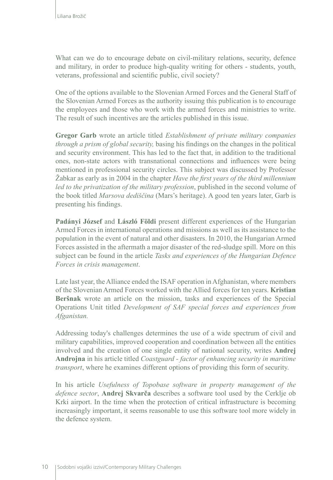What can we do to encourage debate on civil-military relations, security, defence and military, in order to produce high-quality writing for others - students, youth, veterans, professional and scientific public, civil society?

One of the options available to the Slovenian Armed Forces and the General Staff of the Slovenian Armed Forces as the authority issuing this publication is to encourage the employees and those who work with the armed forces and ministries to write. The result of such incentives are the articles published in this issue.

**Gregor Garb** wrote an article titled *Establishment of private military companies through a prism of global security,* basing his findings on the changes in the political and security environment. This has led to the fact that, in addition to the traditional ones, non-state actors with transnational connections and influences were being mentioned in professional security circles. This subject was discussed by Professor Žabkar as early as in 2004 in the chapter *Have the first years of the third millennium led to the privatization of the military profession*, published in the second volume of the book titled *Marsova dediščina* (Mars's heritage). A good ten years later, Garb is presenting his findings.

**Padányi József** and **László Földi** present different experiences of the Hungarian Armed Forces in international operations and missions as well as its assistance to the population in the event of natural and other disasters. In 2010, the Hungarian Armed Forces assisted in the aftermath a major disaster of the red-sludge spill. More on this subject can be found in the article *Tasks and experiences of the Hungarian Defence Forces in crisis management*.

Late last year, the Alliance ended the ISAF operation in Afghanistan, where members of the Slovenian Armed Forces worked with the Allied forces for ten years. **Kristian Beršnak** wrote an article on the mission, tasks and experiences of the Special Operations Unit titled *Development of SAF special forces and experiences from Afganistan.*

Addressing today's challenges determines the use of a wide spectrum of civil and military capabilities, improved cooperation and coordination between all the entities involved and the creation of one single entity of national security, writes **Andrej Androjna** in his article titled *Coastguard - factor of enhancing security in maritime transport*, where he examines different options of providing this form of security.

In his article *Usefulness of Topobase software in property management of the defence sector*, **Andrej Skvarča** describes a software tool used by the Cerklje ob Krki airport. In the time when the protection of critical infrastructure is becoming increasingly important, it seems reasonable to use this software tool more widely in the defence system.